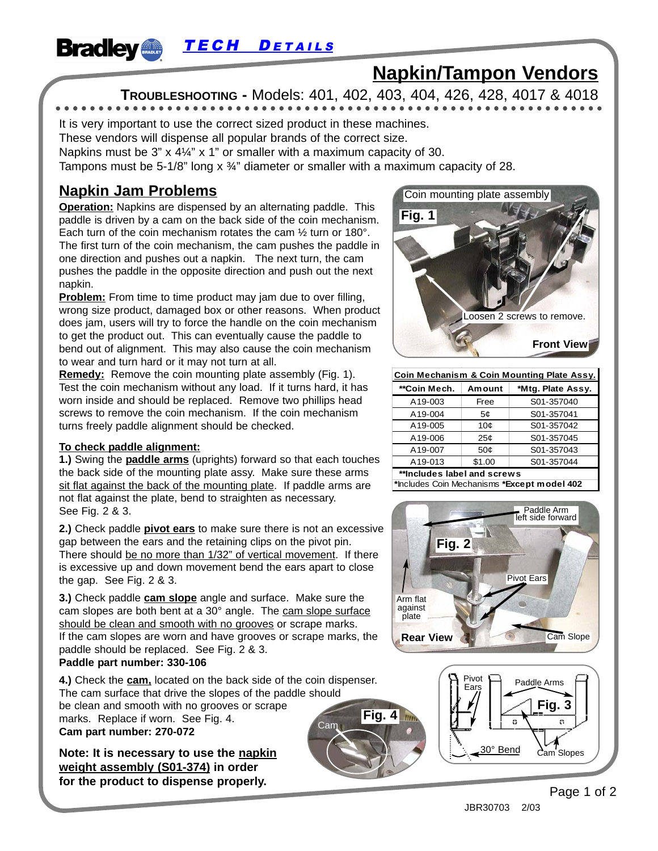**Bradley TECH DETAILS** 

# **Napkin/Tampon Vendors**

**TROUBLESHOOTING -** Models: 401, 402, 403, 404, 426, 428, 4017 & 4018

It is very important to use the correct sized product in these machines.

These vendors will dispense all popular brands of the correct size.

Napkins must be 3" x 4¼" x 1" or smaller with a maximum capacity of 30.

Tampons must be 5-1/8" long  $x \frac{3}{4}$ " diameter or smaller with a maximum capacity of 28.

## **Napkin Jam Problems**

**Operation:** Napkins are dispensed by an alternating paddle. This paddle is driven by a cam on the back side of the coin mechanism. Each turn of the coin mechanism rotates the cam ½ turn or 180°. The first turn of the coin mechanism, the cam pushes the paddle in one direction and pushes out a napkin. The next turn, the cam pushes the paddle in the opposite direction and push out the next napkin.

**Problem:** From time to time product may jam due to over filling, wrong size product, damaged box or other reasons. When product does jam, users will try to force the handle on the coin mechanism to get the product out. This can eventually cause the paddle to bend out of alignment. This may also cause the coin mechanism to wear and turn hard or it may not turn at all.

**Remedy:** Remove the coin mounting plate assembly (Fig. 1). Test the coin mechanism without any load. If it turns hard, it has worn inside and should be replaced. Remove two phillips head screws to remove the coin mechanism. If the coin mechanism turns freely paddle alignment should be checked.

#### **To check paddle alignment:**

**1.)** Swing the **paddle arms** (uprights) forward so that each touches the back side of the mounting plate assy. Make sure these arms sit flat against the back of the mounting plate. If paddle arms are not flat against the plate, bend to straighten as necessary. See Fig. 2 & 3.

**2.)** Check paddle **pivot ears** to make sure there is not an excessive gap between the ears and the retaining clips on the pivot pin. There should be no more than 1/32" of vertical movement. If there is excessive up and down movement bend the ears apart to close the gap. See Fig. 2 & 3.

**3.)** Check paddle **cam slope** angle and surface. Make sure the cam slopes are both bent at a 30° angle. The cam slope surface should be clean and smooth with no grooves or scrape marks. If the cam slopes are worn and have grooves or scrape marks, the paddle should be replaced. See Fig. 2 & 3.

#### **Paddle part number: 330-106**

**4.)** Check the **cam,** located on the back side of the coin dispenser. The cam surface that drive the slopes of the paddle should be clean and smooth with no grooves or scrape marks. Replace if worn. See Fig. 4. **Cam part number: 270-072 Fig. 4** 

**Note: It is necessary to use the napkin weight assembly (S01-374) in order for the product to dispense properly.**



| Coin Mechanism & Coin Mounting Plate Assy. |                 |                   |
|--------------------------------------------|-----------------|-------------------|
| **Coin Mech.                               | Amount          | *Mtg. Plate Assy. |
| A19-003                                    | Free            | S01-357040        |
| A19-004                                    | 5¢              | S01-357041        |
| A19-005                                    | 10¢             | S01-357042        |
| A19-006                                    | 25¢             | S01-357045        |
| A19-007                                    | 50 <sub>c</sub> | S01-357043        |
| A19-013                                    | \$1.00          | S01-357044        |
| **Includes label and screws                |                 |                   |

**\***Includes Coin Mechanisms **\*Except model 402**





Page 1 of 2